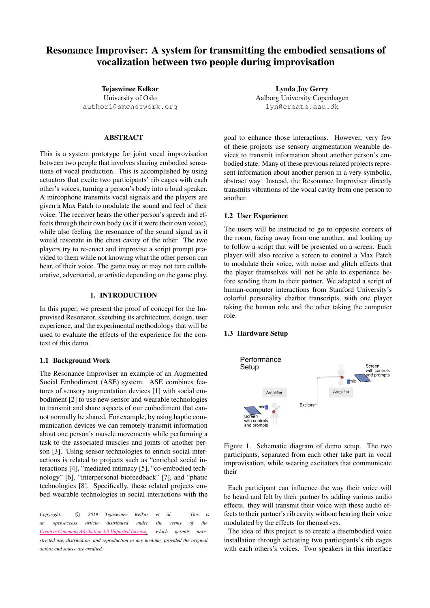# Resonance Improviser: A system for transmitting the embodied sensations of vocalization between two people during improvisation

Tejaswinee Kelkar University of Oslo [author1@smcnetwork.org](tejaswinee.kelkar@imv.uio.no)

# ABSTRACT

This is a system prototype for joint vocal improvisation between two people that involves sharing embodied sensations of vocal production. This is accomplished by using actuators that excite two participants' rib cages with each other's voices, turning a person's body into a loud speaker. A mircophone transmits vocal signals and the players are given a Max Patch to modulate the sound and feel of their voice. The receiver hears the other person's speech and effects through their own body (as if it were their own voice), while also feeling the resonance of the sound signal as it would resonate in the chest cavity of the other. The two players try to re-enact and improvise a script prompt provided to them while not knowing what the other person can hear, of their voice. The game may or may not turn collaborative, adversarial, or artistic depending on the game play.

## 1. INTRODUCTION

In this paper, we present the proof of concept for the Improvised Resonator, sketching its architecture, design, user experience, and the experimental methodology that will be used to evaluate the effects of the experience for the context of this demo.

#### 1.1 Background Work

The Resonance Improviser an example of an Augmented Social Embodiment (ASE) system. ASE combines features of sensory augmentation devices [\[1\]](#page-1-0) with social embodiment [\[2\]](#page-1-1) to use new sensor and wearable technologies to transmit and share aspects of our embodiment that cannot normally be shared. For example, by using haptic communication devices we can remotely transmit information about one person's muscle movements while performing a task to the associated muscles and joints of another person [\[3\]](#page-1-2). Using sensor technologies to enrich social interactions is related to projects such as "enriched social interactions [\[4\]](#page-1-3), "mediated intimacy [\[5\]](#page-1-4), "co-embodied technology" [\[6\]](#page-1-5), "interpersonal biofeedback" [\[7\]](#page-1-6), and "phatic technologies [\[8\]](#page-1-7). Specifically, these related projects embed wearable technologies in social interactions with the

*Copyright:*  $\circled{c}$  *2019 Tejaswinee Kelkar et al. This is an open-access article distributed under the terms of the Creative Commons [Attribution](http://creativecommons.org/licenses/by/3.0/) 3.0 Unported License, which permits unrestricted use, distribution, and reproduction in any medium, provided the original author and source are credited.*

Lynda Joy Gerry Aalborg University Copenhagen [lyn@create.aau.dk](mailto:lyn@create.aau.dk)

goal to enhance those interactions. However, very few of these projects use sensory augmentation wearable devices to transmit information about another person's embodied state. Many of these previous related projects represent information about another person in a very symbolic, abstract way. Instead, the Resonance Improviser directly transmits vibrations of the vocal cavity from one person to another.

#### 1.2 User Experience

The users will be instructed to go to opposite corners of the room, facing away from one another, and looking up to follow a script that will be presented on a screen. Each player will also receive a screen to control a Max Patch to modulate their voice, with noise and glitch effects that the player themselves will not be able to experience before sending them to their partner. We adapted a script of human-computer interactions from Stanford University's colorful personality chatbot transcripts, with one player taking the human role and the other taking the computer role.

#### 1.3 Hardware Setup



Figure 1. Schematic diagram of demo setup. The two participants, separated from each other take part in vocal improvisation, while wearing excitators that communicate their

Each participant can influence the way their voice will be heard and felt by their partner by adding various audio effects. they will transmit their voice with these audio effects to their partner's rib cavity without hearing their voice modulated by the effects for themselves.

The idea of this project is to create a disembodied voice installation through actuating two participants's rib cages with each others's voices. Two speakers in this interface